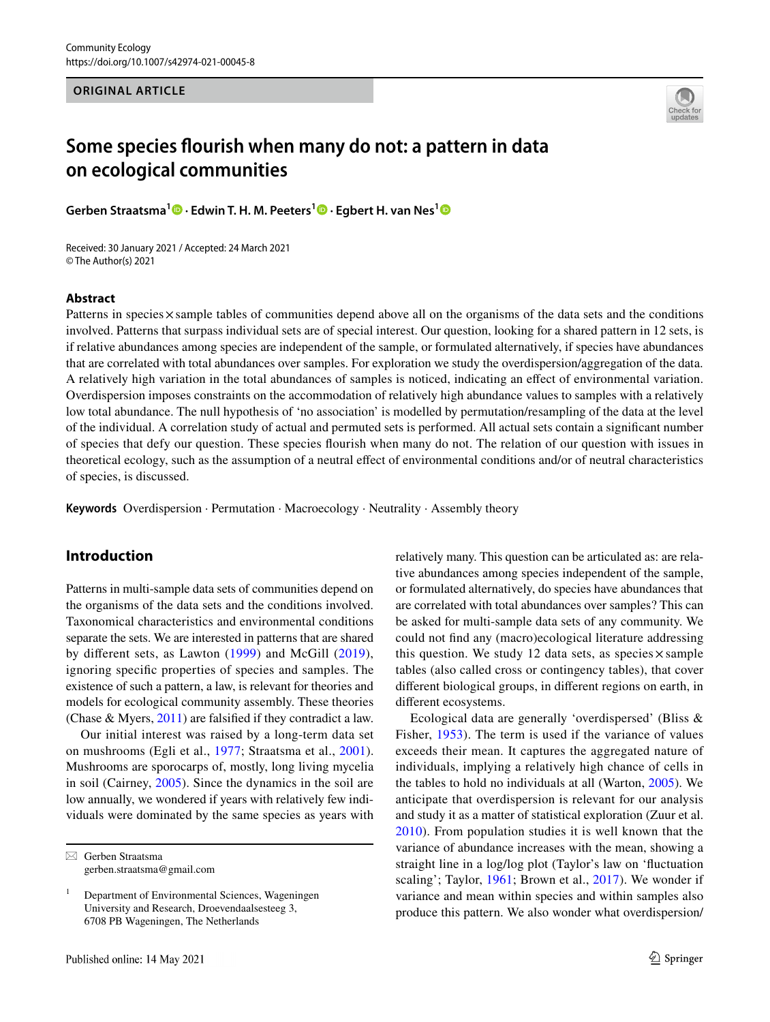### **ORIGINAL ARTICLE**



# **Some species fourish when many do not: a pattern in data on ecological communities**

**Gerben Straatsma1 · Edwin T. H. M. Peeters<sup>1</sup> · Egbert H. van Nes[1](http://orcid.org/0000-0002-6345-104X)**

Received: 30 January 2021 / Accepted: 24 March 2021 © The Author(s) 2021

#### **Abstract**

Patterns in species×sample tables of communities depend above all on the organisms of the data sets and the conditions involved. Patterns that surpass individual sets are of special interest. Our question, looking for a shared pattern in 12 sets, is if relative abundances among species are independent of the sample, or formulated alternatively, if species have abundances that are correlated with total abundances over samples. For exploration we study the overdispersion/aggregation of the data. A relatively high variation in the total abundances of samples is noticed, indicating an efect of environmental variation. Overdispersion imposes constraints on the accommodation of relatively high abundance values to samples with a relatively low total abundance. The null hypothesis of 'no association' is modelled by permutation/resampling of the data at the level of the individual. A correlation study of actual and permuted sets is performed. All actual sets contain a signifcant number of species that defy our question. These species fourish when many do not. The relation of our question with issues in theoretical ecology, such as the assumption of a neutral efect of environmental conditions and/or of neutral characteristics of species, is discussed.

**Keywords** Overdispersion · Permutation · Macroecology · Neutrality · Assembly theory

# **Introduction**

Patterns in multi-sample data sets of communities depend on the organisms of the data sets and the conditions involved. Taxonomical characteristics and environmental conditions separate the sets. We are interested in patterns that are shared by diferent sets, as Lawton ([1999\)](#page-6-0) and McGill ([2019\)](#page-6-1), ignoring specifc properties of species and samples. The existence of such a pattern, a law, is relevant for theories and models for ecological community assembly. These theories (Chase & Myers, [2011\)](#page-6-2) are falsifed if they contradict a law.

Our initial interest was raised by a long-term data set on mushrooms (Egli et al., [1977](#page-6-3); Straatsma et al., [2001](#page-6-4)). Mushrooms are sporocarps of, mostly, long living mycelia in soil (Cairney, [2005\)](#page-5-0). Since the dynamics in the soil are low annually, we wondered if years with relatively few individuals were dominated by the same species as years with

 $\boxtimes$  Gerben Straatsma gerben.straatsma@gmail.com relatively many. This question can be articulated as: are relative abundances among species independent of the sample, or formulated alternatively, do species have abundances that are correlated with total abundances over samples? This can be asked for multi-sample data sets of any community. We could not fnd any (macro)ecological literature addressing this question. We study 12 data sets, as species  $\times$  sample tables (also called cross or contingency tables), that cover diferent biological groups, in diferent regions on earth, in diferent ecosystems.

Ecological data are generally 'overdispersed' (Bliss & Fisher, [1953](#page-5-1)). The term is used if the variance of values exceeds their mean. It captures the aggregated nature of individuals, implying a relatively high chance of cells in the tables to hold no individuals at all (Warton, [2005\)](#page-6-5). We anticipate that overdispersion is relevant for our analysis and study it as a matter of statistical exploration (Zuur et al. [2010\)](#page-6-6). From population studies it is well known that the variance of abundance increases with the mean, showing a straight line in a log/log plot (Taylor's law on 'fuctuation scaling'; Taylor, [1961;](#page-6-7) Brown et al., [2017](#page-5-2)). We wonder if variance and mean within species and within samples also produce this pattern. We also wonder what overdispersion/

<sup>1</sup> Department of Environmental Sciences, Wageningen University and Research, Droevendaalsesteeg 3, 6708 PB Wageningen, The Netherlands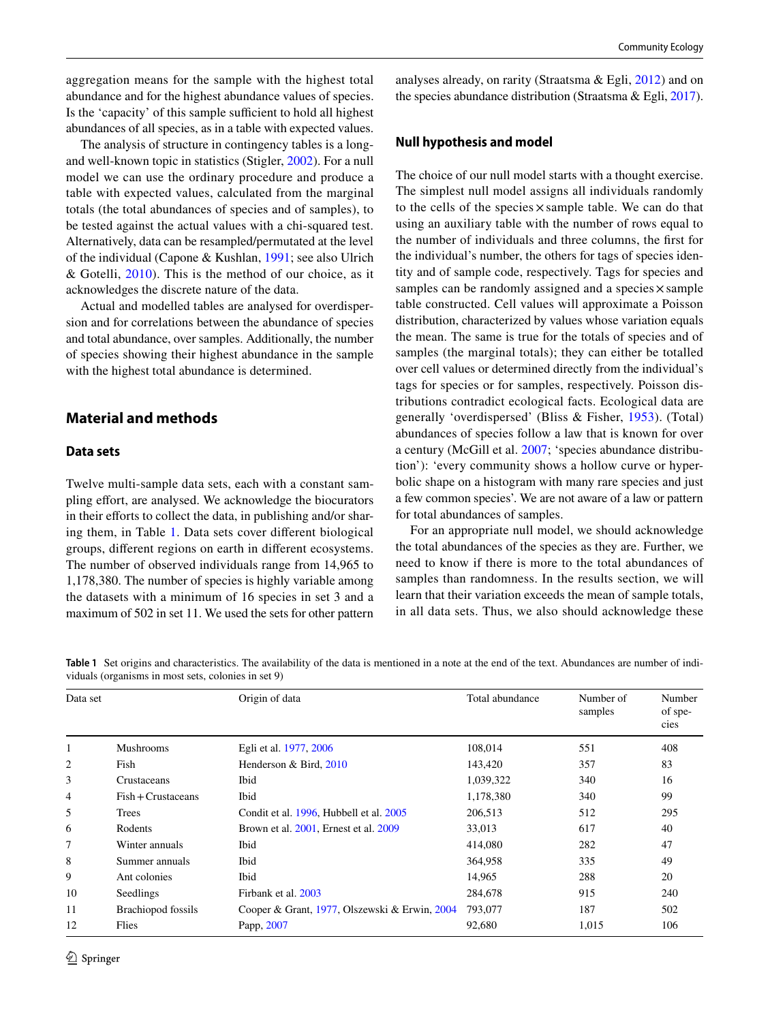aggregation means for the sample with the highest total abundance and for the highest abundance values of species. Is the 'capacity' of this sample sufficient to hold all highest abundances of all species, as in a table with expected values.

The analysis of structure in contingency tables is a longand well-known topic in statistics (Stigler, [2002](#page-6-8)). For a null model we can use the ordinary procedure and produce a table with expected values, calculated from the marginal totals (the total abundances of species and of samples), to be tested against the actual values with a chi-squared test. Alternatively, data can be resampled/permutated at the level of the individual (Capone & Kushlan, [1991;](#page-6-9) see also Ulrich & Gotelli, [2010\)](#page-6-10). This is the method of our choice, as it acknowledges the discrete nature of the data.

Actual and modelled tables are analysed for overdispersion and for correlations between the abundance of species and total abundance, over samples. Additionally, the number of species showing their highest abundance in the sample with the highest total abundance is determined.

# **Material and methods**

# **Data sets**

Twelve multi-sample data sets, each with a constant sampling effort, are analysed. We acknowledge the biocurators in their efforts to collect the data, in publishing and/or sharing them, in Table [1.](#page-1-0) Data sets cover diferent biological groups, diferent regions on earth in diferent ecosystems. The number of observed individuals range from 14,965 to 1,178,380. The number of species is highly variable among the datasets with a minimum of 16 species in set 3 and a maximum of 502 in set 11. We used the sets for other pattern analyses already, on rarity (Straatsma & Egli, [2012](#page-6-11)) and on the species abundance distribution (Straatsma & Egli, [2017](#page-6-12)).

### **Null hypothesis and model**

The choice of our null model starts with a thought exercise. The simplest null model assigns all individuals randomly to the cells of the species  $\times$  sample table. We can do that using an auxiliary table with the number of rows equal to the number of individuals and three columns, the frst for the individual's number, the others for tags of species identity and of sample code, respectively. Tags for species and samples can be randomly assigned and a species  $\times$  sample table constructed. Cell values will approximate a Poisson distribution, characterized by values whose variation equals the mean. The same is true for the totals of species and of samples (the marginal totals); they can either be totalled over cell values or determined directly from the individual's tags for species or for samples, respectively. Poisson distributions contradict ecological facts. Ecological data are generally 'overdispersed' (Bliss & Fisher, [1953](#page-5-1)). (Total) abundances of species follow a law that is known for over a century (McGill et al. [2007;](#page-6-13) 'species abundance distribution'): 'every community shows a hollow curve or hyperbolic shape on a histogram with many rare species and just a few common species'. We are not aware of a law or pattern for total abundances of samples.

For an appropriate null model, we should acknowledge the total abundances of the species as they are. Further, we need to know if there is more to the total abundances of samples than randomness. In the results section, we will learn that their variation exceeds the mean of sample totals, in all data sets. Thus, we also should acknowledge these

<span id="page-1-0"></span>**Table 1** Set origins and characteristics. The availability of the data is mentioned in a note at the end of the text. Abundances are number of individuals (organisms in most sets, colonies in set 9)

| Data set |                           | Origin of data                                | Total abundance | Number of<br>samples | Number<br>of spe-<br>cies |
|----------|---------------------------|-----------------------------------------------|-----------------|----------------------|---------------------------|
|          | <b>Mushrooms</b>          | Egli et al. 1977, 2006                        | 108,014         | 551                  | 408                       |
| 2        | Fish                      | Henderson & Bird, 2010                        | 143,420         | 357                  | 83                        |
| 3        | Crustaceans               | Ibid                                          | 1,039,322       | 340                  | 16                        |
| 4        | $Fish + Crustaceans$      | Ibid                                          | 1,178,380       | 340                  | 99                        |
| 5        | Trees                     | Condit et al. 1996, Hubbell et al. 2005       | 206,513         | 512                  | 295                       |
| 6        | Rodents                   | Brown et al. 2001, Ernest et al. 2009         | 33,013          | 617                  | 40                        |
| 7        | Winter annuals            | Ibid                                          | 414,080         | 282                  | 47                        |
| 8        | Summer annuals            | Ibid                                          | 364,958         | 335                  | 49                        |
| 9        | Ant colonies              | Ibid                                          | 14,965          | 288                  | 20                        |
| 10       | Seedlings                 | Firbank et al. 2003                           | 284,678         | 915                  | 240                       |
| 11       | <b>Brachiopod</b> fossils | Cooper & Grant, 1977, Olszewski & Erwin, 2004 | 793,077         | 187                  | 502                       |
| 12       | Flies                     | Papp, 2007                                    | 92,680          | 1,015                | 106                       |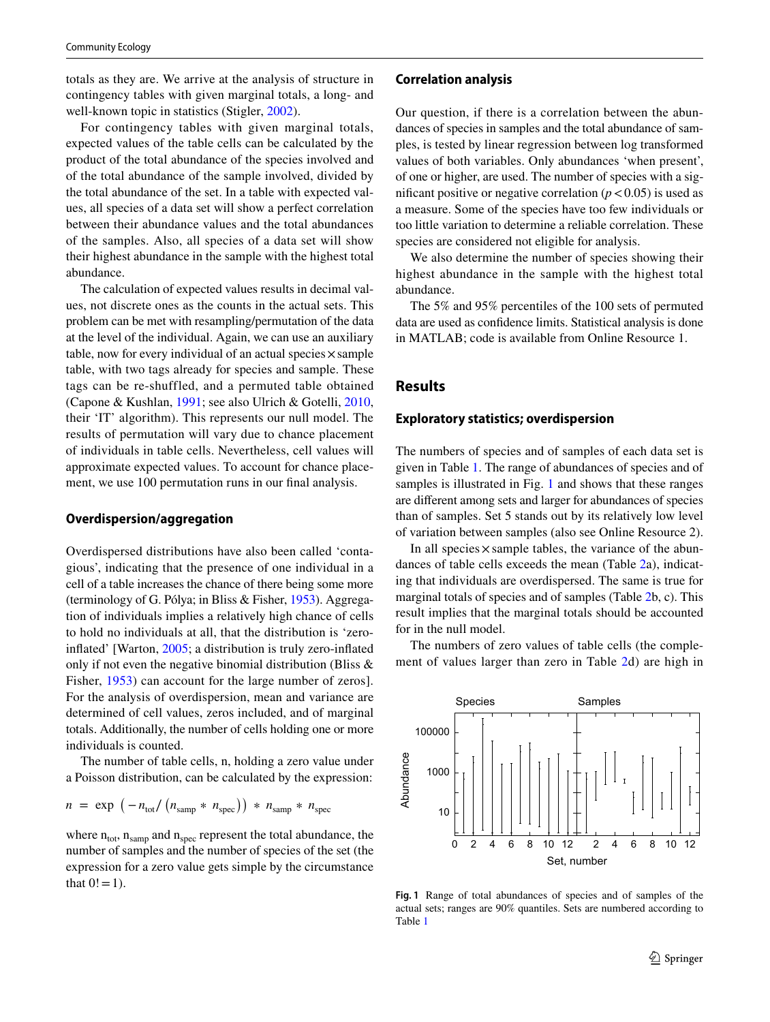totals as they are. We arrive at the analysis of structure in contingency tables with given marginal totals, a long- and well-known topic in statistics (Stigler, [2002\)](#page-6-8).

For contingency tables with given marginal totals, expected values of the table cells can be calculated by the product of the total abundance of the species involved and of the total abundance of the sample involved, divided by the total abundance of the set. In a table with expected values, all species of a data set will show a perfect correlation between their abundance values and the total abundances of the samples. Also, all species of a data set will show their highest abundance in the sample with the highest total abundance.

The calculation of expected values results in decimal values, not discrete ones as the counts in the actual sets. This problem can be met with resampling/permutation of the data at the level of the individual. Again, we can use an auxiliary table, now for every individual of an actual species  $\times$  sample table, with two tags already for species and sample. These tags can be re-shuffled, and a permuted table obtained (Capone & Kushlan, [1991](#page-6-9); see also Ulrich & Gotelli, [2010,](#page-6-10) their 'IT' algorithm). This represents our null model. The results of permutation will vary due to chance placement of individuals in table cells. Nevertheless, cell values will approximate expected values. To account for chance placement, we use 100 permutation runs in our final analysis.

#### **Overdispersion/aggregation**

Overdispersed distributions have also been called 'contagious', indicating that the presence of one individual in a cell of a table increases the chance of there being some more (terminology of G. Pólya; in Bliss & Fisher, [1953](#page-5-1)). Aggregation of individuals implies a relatively high chance of cells to hold no individuals at all, that the distribution is 'zeroinfated' [Warton, [2005;](#page-6-5) a distribution is truly zero-infated only if not even the negative binomial distribution (Bliss & Fisher, [1953\)](#page-5-1) can account for the large number of zeros]. For the analysis of overdispersion, mean and variance are determined of cell values, zeros included, and of marginal totals. Additionally, the number of cells holding one or more individuals is counted.

The number of table cells, n, holding a zero value under a Poisson distribution, can be calculated by the expression:

$$
n = \exp \left(-n_{\text{tot}}/\left(n_{\text{samp}} * n_{\text{spec}}\right)\right) * n_{\text{samp}} * n_{\text{spec}}
$$

where  $n_{\text{tot}}$ ,  $n_{\text{ samp}}$  and  $n_{\text{spec}}$  represent the total abundance, the number of samples and the number of species of the set (the expression for a zero value gets simple by the circumstance that  $0! = 1$ .

#### **Correlation analysis**

Our question, if there is a correlation between the abundances of species in samples and the total abundance of samples, is tested by linear regression between log transformed values of both variables. Only abundances 'when present', of one or higher, are used. The number of species with a significant positive or negative correlation  $(p < 0.05)$  is used as a measure. Some of the species have too few individuals or too little variation to determine a reliable correlation. These species are considered not eligible for analysis.

We also determine the number of species showing their highest abundance in the sample with the highest total abundance.

The 5% and 95% percentiles of the 100 sets of permuted data are used as confdence limits. Statistical analysis is done in MATLAB; code is available from Online Resource 1.

# **Results**

#### **Exploratory statistics; overdispersion**

The numbers of species and of samples of each data set is given in Table [1](#page-1-0). The range of abundances of species and of samples is illustrated in Fig. [1](#page-2-0) and shows that these ranges are diferent among sets and larger for abundances of species than of samples. Set 5 stands out by its relatively low level of variation between samples (also see Online Resource 2).

In all species  $\times$  sample tables, the variance of the abundances of table cells exceeds the mean (Table [2](#page-3-0)a), indicating that individuals are overdispersed. The same is true for marginal totals of species and of samples (Table [2](#page-3-0)b, c). This result implies that the marginal totals should be accounted for in the null model.

The numbers of zero values of table cells (the complement of values larger than zero in Table [2](#page-3-0)d) are high in



<span id="page-2-0"></span>**Fig. 1** Range of total abundances of species and of samples of the actual sets; ranges are 90% quantiles. Sets are numbered according to Table [1](#page-1-0)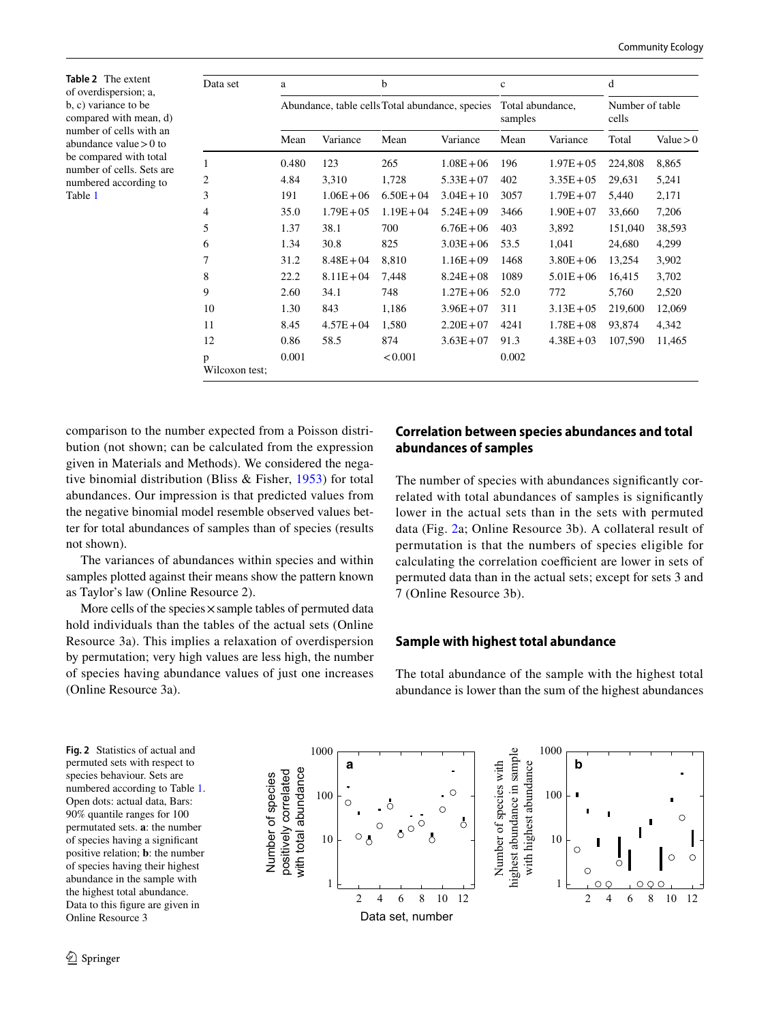<span id="page-3-0"></span>**Table 2** The extent of overdispersion; a, b, c) variance to be compared with mean, d) number of cells with an abundance value>0 to be compared with total number of cells. Sets are numbered according to Table [1](#page-1-0)

| Data set            | a     |              | $\mathbf b$                                     |              | $\mathbf{C}$                |               | d                        |             |
|---------------------|-------|--------------|-------------------------------------------------|--------------|-----------------------------|---------------|--------------------------|-------------|
|                     |       |              | Abundance, table cells Total abundance, species |              | Total abundance,<br>samples |               | Number of table<br>cells |             |
|                     | Mean  | Variance     | Mean                                            | Variance     | Mean                        | Variance      | Total                    | Value $> 0$ |
| $\mathbf{1}$        | 0.480 | 123          | 265                                             | $1.08E + 06$ | 196                         | $1.97E + 0.5$ | 224,808                  | 8,865       |
| $\overline{2}$      | 4.84  | 3,310        | 1,728                                           | $5.33E + 07$ | 402                         | $3.35E + 05$  | 29,631                   | 5,241       |
| 3                   | 191   | $1.06E + 06$ | $6.50E + 04$                                    | $3.04E + 10$ | 3057                        | $1.79E + 07$  | 5,440                    | 2,171       |
| $\overline{4}$      | 35.0  | $1.79E + 05$ | $1.19E + 04$                                    | $5.24E + 09$ | 3466                        | $1.90E + 07$  | 33,660                   | 7,206       |
| 5                   | 1.37  | 38.1         | 700                                             | $6.76E + 06$ | 403                         | 3,892         | 151,040                  | 38,593      |
| 6                   | 1.34  | 30.8         | 825                                             | $3.03E + 06$ | 53.5                        | 1,041         | 24,680                   | 4,299       |
| 7                   | 31.2  | $8.48E + 04$ | 8,810                                           | $1.16E + 09$ | 1468                        | $3.80E + 06$  | 13,254                   | 3,902       |
| 8                   | 22.2  | $8.11E + 04$ | 7,448                                           | $8.24E + 08$ | 1089                        | $5.01E + 06$  | 16,415                   | 3,702       |
| 9                   | 2.60  | 34.1         | 748                                             | $1.27E + 06$ | 52.0                        | 772           | 5,760                    | 2,520       |
| 10                  | 1.30  | 843          | 1,186                                           | $3.96E + 07$ | 311                         | $3.13E + 05$  | 219,600                  | 12,069      |
| 11                  | 8.45  | $4.57E + 04$ | 1,580                                           | $2.20E + 07$ | 4241                        | $1.78E + 08$  | 93,874                   | 4,342       |
| 12                  | 0.86  | 58.5         | 874                                             | $3.63E + 07$ | 91.3                        | $4.38E + 03$  | 107,590                  | 11,465      |
| p<br>Wilcoxon test; | 0.001 |              | < 0.001                                         |              | 0.002                       |               |                          |             |

comparison to the number expected from a Poisson distribution (not shown; can be calculated from the expression given in Materials and Methods). We considered the negative binomial distribution (Bliss & Fisher, [1953\)](#page-5-1) for total abundances. Our impression is that predicted values from the negative binomial model resemble observed values better for total abundances of samples than of species (results not shown).

The variances of abundances within species and within samples plotted against their means show the pattern known as Taylor's law (Online Resource 2).

More cells of the species  $\times$  sample tables of permuted data hold individuals than the tables of the actual sets (Online Resource 3a). This implies a relaxation of overdispersion by permutation; very high values are less high, the number of species having abundance values of just one increases (Online Resource 3a).

# **Correlation between species abundances and total abundances of samples**

The number of species with abundances signifcantly correlated with total abundances of samples is signifcantly lower in the actual sets than in the sets with permuted data (Fig. [2a](#page-3-1); Online Resource 3b). A collateral result of permutation is that the numbers of species eligible for calculating the correlation coefficient are lower in sets of permuted data than in the actual sets; except for sets 3 and 7 (Online Resource 3b).

# **Sample with highest total abundance**

The total abundance of the sample with the highest total abundance is lower than the sum of the highest abundances

<span id="page-3-1"></span>**Fig. 2** Statistics of actual and permuted sets with respect to species behaviour. Sets are numbered according to Table [1.](#page-1-0) Open dots: actual data, Bars: 90% quantile ranges for 100 permutated sets. **a**: the number of species having a signifcant positive relation; **b**: the number of species having their highest abundance in the sample with the highest total abundance. Data to this fgure are given in Online Resource 3

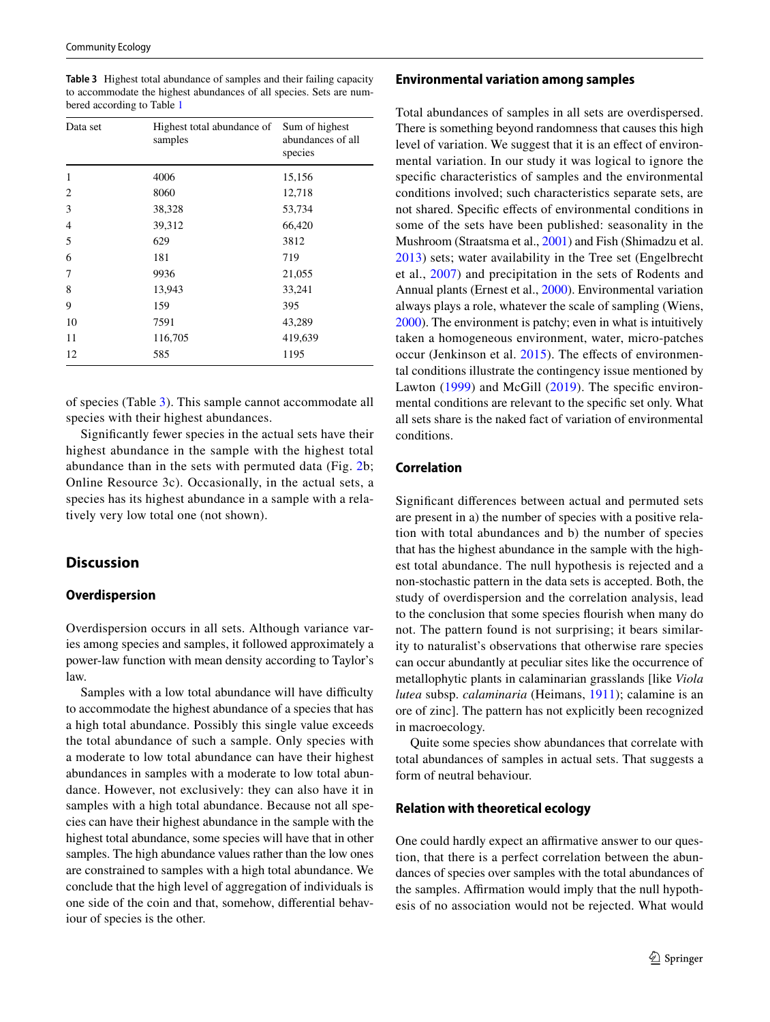<span id="page-4-0"></span>**Table 3** Highest total abundance of samples and their failing capacity to accommodate the highest abundances of all species. Sets are numbered according to Table [1](#page-1-0)

| Data set       | Highest total abundance of<br>samples | Sum of highest<br>abundances of all<br>species |
|----------------|---------------------------------------|------------------------------------------------|
| 1              | 4006                                  | 15,156                                         |
| 2              | 8060                                  | 12,718                                         |
| 3              | 38,328                                | 53,734                                         |
| $\overline{4}$ | 39,312                                | 66,420                                         |
| 5              | 629                                   | 3812                                           |
| 6              | 181                                   | 719                                            |
| 7              | 9936                                  | 21,055                                         |
| 8              | 13,943                                | 33,241                                         |
| 9              | 159                                   | 395                                            |
| 10             | 7591                                  | 43,289                                         |
| 11             | 116,705                               | 419,639                                        |
| 12             | 585                                   | 1195                                           |

of species (Table [3\)](#page-4-0). This sample cannot accommodate all species with their highest abundances.

Signifcantly fewer species in the actual sets have their highest abundance in the sample with the highest total abundance than in the sets with permuted data (Fig. [2](#page-3-1)b; Online Resource 3c). Occasionally, in the actual sets, a species has its highest abundance in a sample with a relatively very low total one (not shown).

# **Discussion**

### **Overdispersion**

Overdispersion occurs in all sets. Although variance varies among species and samples, it followed approximately a power-law function with mean density according to Taylor's law.

Samples with a low total abundance will have difficulty to accommodate the highest abundance of a species that has a high total abundance. Possibly this single value exceeds the total abundance of such a sample. Only species with a moderate to low total abundance can have their highest abundances in samples with a moderate to low total abundance. However, not exclusively: they can also have it in samples with a high total abundance. Because not all species can have their highest abundance in the sample with the highest total abundance, some species will have that in other samples. The high abundance values rather than the low ones are constrained to samples with a high total abundance. We conclude that the high level of aggregation of individuals is one side of the coin and that, somehow, diferential behaviour of species is the other.

### **Environmental variation among samples**

Total abundances of samples in all sets are overdispersed. There is something beyond randomness that causes this high level of variation. We suggest that it is an effect of environmental variation. In our study it was logical to ignore the specifc characteristics of samples and the environmental conditions involved; such characteristics separate sets, are not shared. Specifc efects of environmental conditions in some of the sets have been published: seasonality in the Mushroom (Straatsma et al., [2001](#page-6-4)) and Fish (Shimadzu et al. [2013\)](#page-6-23) sets; water availability in the Tree set (Engelbrecht et al., [2007\)](#page-6-24) and precipitation in the sets of Rodents and Annual plants (Ernest et al., [2000](#page-6-25)). Environmental variation always plays a role, whatever the scale of sampling (Wiens, [2000\)](#page-6-26). The environment is patchy; even in what is intuitively taken a homogeneous environment, water, micro-patches occur (Jenkinson et al. [2015](#page-6-27)). The efects of environmental conditions illustrate the contingency issue mentioned by Lawton ([1999\)](#page-6-0) and McGill ([2019](#page-6-1)). The specific environmental conditions are relevant to the specifc set only. What all sets share is the naked fact of variation of environmental conditions.

# **Correlation**

Signifcant diferences between actual and permuted sets are present in a) the number of species with a positive relation with total abundances and b) the number of species that has the highest abundance in the sample with the highest total abundance. The null hypothesis is rejected and a non-stochastic pattern in the data sets is accepted. Both, the study of overdispersion and the correlation analysis, lead to the conclusion that some species fourish when many do not. The pattern found is not surprising; it bears similarity to naturalist's observations that otherwise rare species can occur abundantly at peculiar sites like the occurrence of metallophytic plants in calaminarian grasslands [like *Viola lutea* subsp. *calaminaria* (Heimans, [1911](#page-6-28)); calamine is an ore of zinc]. The pattern has not explicitly been recognized in macroecology.

Quite some species show abundances that correlate with total abundances of samples in actual sets. That suggests a form of neutral behaviour.

#### **Relation with theoretical ecology**

One could hardly expect an affirmative answer to our question, that there is a perfect correlation between the abundances of species over samples with the total abundances of the samples. Affirmation would imply that the null hypothesis of no association would not be rejected. What would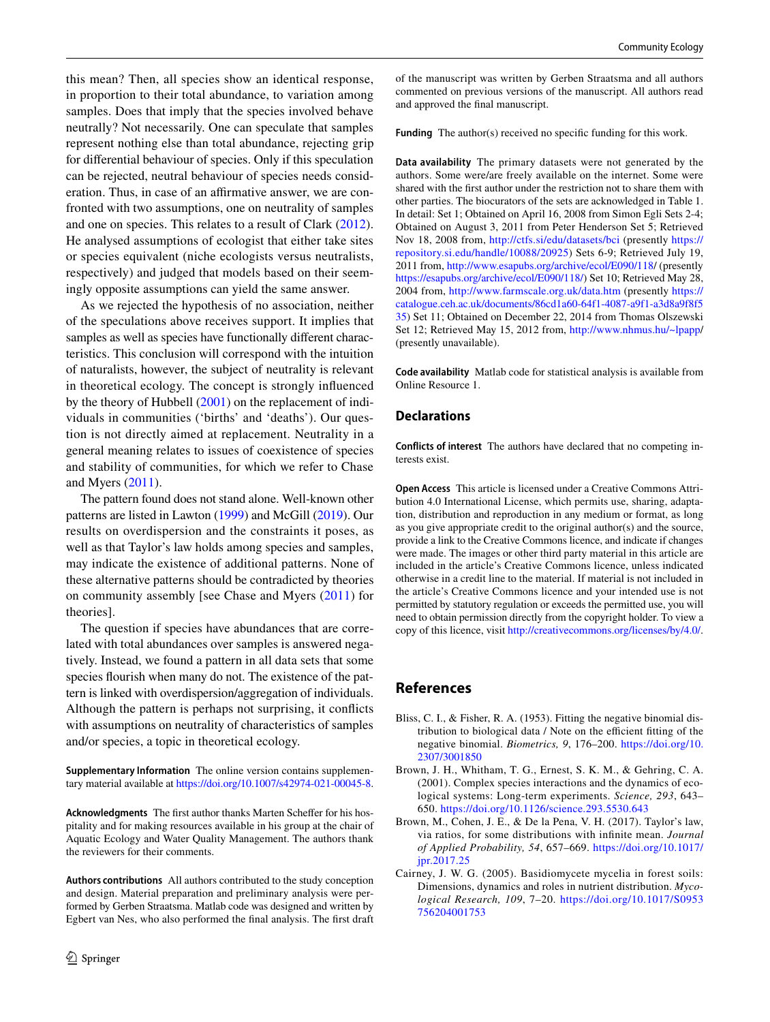this mean? Then, all species show an identical response, in proportion to their total abundance, to variation among samples. Does that imply that the species involved behave neutrally? Not necessarily. One can speculate that samples represent nothing else than total abundance, rejecting grip for diferential behaviour of species. Only if this speculation can be rejected, neutral behaviour of species needs consideration. Thus, in case of an affirmative answer, we are confronted with two assumptions, one on neutrality of samples and one on species. This relates to a result of Clark [\(2012](#page-6-29)). He analysed assumptions of ecologist that either take sites or species equivalent (niche ecologists versus neutralists, respectively) and judged that models based on their seemingly opposite assumptions can yield the same answer.

As we rejected the hypothesis of no association, neither of the speculations above receives support. It implies that samples as well as species have functionally diferent characteristics. This conclusion will correspond with the intuition of naturalists, however, the subject of neutrality is relevant in theoretical ecology. The concept is strongly infuenced by the theory of Hubbell [\(2001](#page-6-30)) on the replacement of individuals in communities ('births' and 'deaths'). Our question is not directly aimed at replacement. Neutrality in a general meaning relates to issues of coexistence of species and stability of communities, for which we refer to Chase and Myers [\(2011\)](#page-6-2).

The pattern found does not stand alone. Well-known other patterns are listed in Lawton ([1999\)](#page-6-0) and McGill ([2019\)](#page-6-1). Our results on overdispersion and the constraints it poses, as well as that Taylor's law holds among species and samples, may indicate the existence of additional patterns. None of these alternative patterns should be contradicted by theories on community assembly [see Chase and Myers ([2011](#page-6-2)) for theories].

The question if species have abundances that are correlated with total abundances over samples is answered negatively. Instead, we found a pattern in all data sets that some species fourish when many do not. The existence of the pattern is linked with overdispersion/aggregation of individuals. Although the pattern is perhaps not surprising, it conficts with assumptions on neutrality of characteristics of samples and/or species, a topic in theoretical ecology.

**Supplementary Information** The online version contains supplementary material available at<https://doi.org/10.1007/s42974-021-00045-8>.

Acknowledgments The first author thanks Marten Scheffer for his hospitality and for making resources available in his group at the chair of Aquatic Ecology and Water Quality Management. The authors thank the reviewers for their comments.

**Authors contributions** All authors contributed to the study conception and design. Material preparation and preliminary analysis were performed by Gerben Straatsma. Matlab code was designed and written by Egbert van Nes, who also performed the fnal analysis. The frst draft of the manuscript was written by Gerben Straatsma and all authors commented on previous versions of the manuscript. All authors read and approved the fnal manuscript.

Funding The author(s) received no specific funding for this work.

**Data availability** The primary datasets were not generated by the authors. Some were/are freely available on the internet. Some were shared with the frst author under the restriction not to share them with other parties. The biocurators of the sets are acknowledged in Table 1. In detail: Set 1; Obtained on April 16, 2008 from Simon Egli Sets 2-4; Obtained on August 3, 2011 from Peter Henderson Set 5; Retrieved Nov 18, 2008 from, <http://ctfs.si/edu/datasets/bci>(presently [https://](https://repository.si.edu/handle/10088/20925) [repository.si.edu/handle/10088/20925](https://repository.si.edu/handle/10088/20925)) Sets 6-9; Retrieved July 19, 2011 from, [http://www.esapubs.org/archive/ecol/E090/118/](http://www.esapubs.org/archive/ecol/E090/118) (presently <https://esapubs.org/archive/ecol/E090/118/>) Set 10; Retrieved May 28, 2004 from,<http://www.farmscale.org.uk/data.htm> (presently [https://](https://catalogue.ceh.ac.uk/documents/86cd1a60-64f1-4087-a9f1-a3d8a9f8f535) [catalogue.ceh.ac.uk/documents/86cd1a60-64f1-4087-a9f1-a3d8a9f8f5](https://catalogue.ceh.ac.uk/documents/86cd1a60-64f1-4087-a9f1-a3d8a9f8f535) [35\)](https://catalogue.ceh.ac.uk/documents/86cd1a60-64f1-4087-a9f1-a3d8a9f8f535) Set 11; Obtained on December 22, 2014 from Thomas Olszewski Set 12; Retrieved May 15, 2012 from, [http://www.nhmus.hu/~lpapp/](http://www.nhmus.hu/~lpapp) (presently unavailable).

**Code availability** Matlab code for statistical analysis is available from Online Resource 1.

# **Declarations**

**Conflicts of interest** The authors have declared that no competing interests exist.

**Open Access** This article is licensed under a Creative Commons Attribution 4.0 International License, which permits use, sharing, adaptation, distribution and reproduction in any medium or format, as long as you give appropriate credit to the original author(s) and the source, provide a link to the Creative Commons licence, and indicate if changes were made. The images or other third party material in this article are included in the article's Creative Commons licence, unless indicated otherwise in a credit line to the material. If material is not included in the article's Creative Commons licence and your intended use is not permitted by statutory regulation or exceeds the permitted use, you will need to obtain permission directly from the copyright holder. To view a copy of this licence, visit<http://creativecommons.org/licenses/by/4.0/>.

# **References**

- <span id="page-5-1"></span>Bliss, C. I., & Fisher, R. A. (1953). Fitting the negative binomial distribution to biological data / Note on the efficient fitting of the negative binomial. *Biometrics, 9*, 176–200. [https://doi.org/10.](https://doi.org/10.2307/3001850) [2307/3001850](https://doi.org/10.2307/3001850)
- <span id="page-5-3"></span>Brown, J. H., Whitham, T. G., Ernest, S. K. M., & Gehring, C. A. (2001). Complex species interactions and the dynamics of ecological systems: Long-term experiments. *Science, 293*, 643– 650. <https://doi.org/10.1126/science.293.5530.643>
- <span id="page-5-2"></span>Brown, M., Cohen, J. E., & De la Pena, V. H. (2017). Taylor's law, via ratios, for some distributions with infnite mean. *Journal of Applied Probability, 54*, 657–669. [https://doi.org/10.1017/](https://doi.org/10.1017/jpr.2017.25) [jpr.2017.25](https://doi.org/10.1017/jpr.2017.25)
- <span id="page-5-0"></span>Cairney, J. W. G. (2005). Basidiomycete mycelia in forest soils: Dimensions, dynamics and roles in nutrient distribution. *Mycological Research, 109*, 7–20. [https://doi.org/10.1017/S0953](https://doi.org/10.1017/S0953756204001753) [756204001753](https://doi.org/10.1017/S0953756204001753)